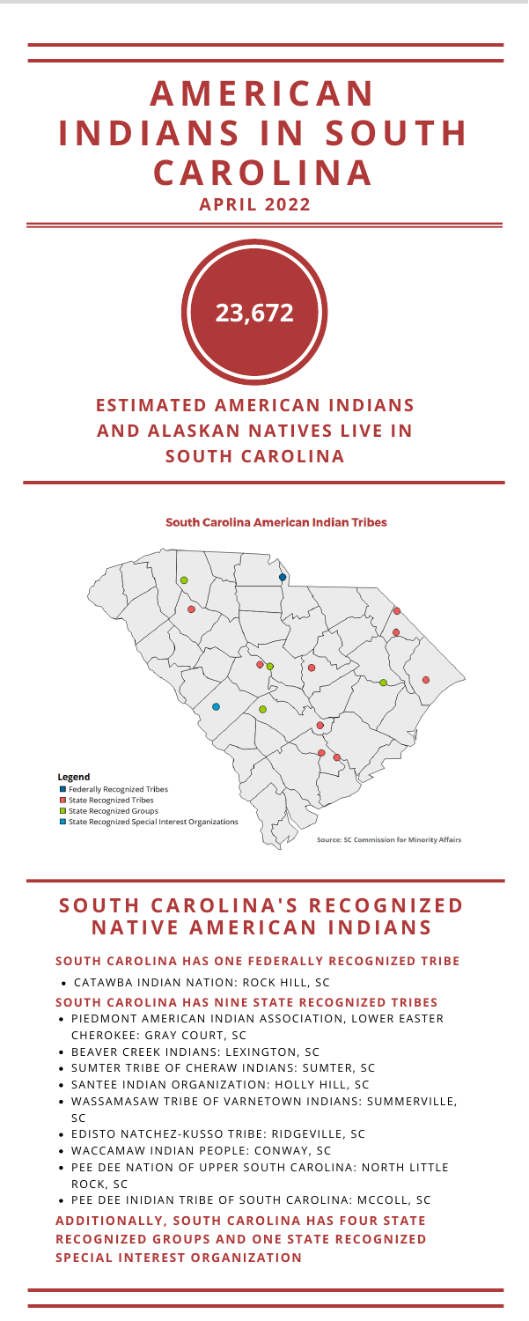# **ESTIMATED AMERICAN INDIANS AND ALASKAN NATIVES LIVE IN SOUTH CAROLINA**

#### **South Carolina American Indian Tribes**





### **SOUTH CAROLINA HAS ONE FEDERALLY RECOGNIZED TRIBE**

CATAWBA INDIAN NATION: ROCK HILL, SC

### **SOUTH CAROLINA HAS NINE STATE RECOGNIZED TRIBES**

# **A M ERI CA N I N D IA N S I N S O U T H CAR O L I N A APRIL 2022**

- PIEDMONT AMERICAN INDIAN ASSOCIATION, LOWER EASTER CHEROKEE: GRAY COURT, SC
- BEAVER CREEK INDIANS: LEXINGTON, SC
- SUMTER TRIBE OF CHERAW INDIANS: SUMTER, SC
- SANTEE INDIAN ORGANIZATION: HOLLY HILL, SC
- WASSAMASAW TRIBE OF VARNETOWN INDIANS: SUMMERVILLE, SC
- EDISTO NATCHEZ-KUSSO TRIBE: RIDGEVILLE, SC
- WACCAMAW INDIAN PEOPLE: CONWAY, SC
- PEE DEE NATION OF UPPER SOUTH CAROLINA: NORTH LITTLE ROCK, SC
- PEE DEE INIDIAN TRIBE OF SOUTH CAROLINA: MCCOLL, SC

# **ADDITIONALLY, SOUTH CAROLINA HAS FOUR STATE RECOGNIZED GROUPS AND ONE STATE RECOGNIZED SPECIAL INTEREST ORGANIZATION**

# **S O U T H CAR O L I N A' S RE C O G N I Z E D N AT IVE A M ERI CA N I N D IA N S**